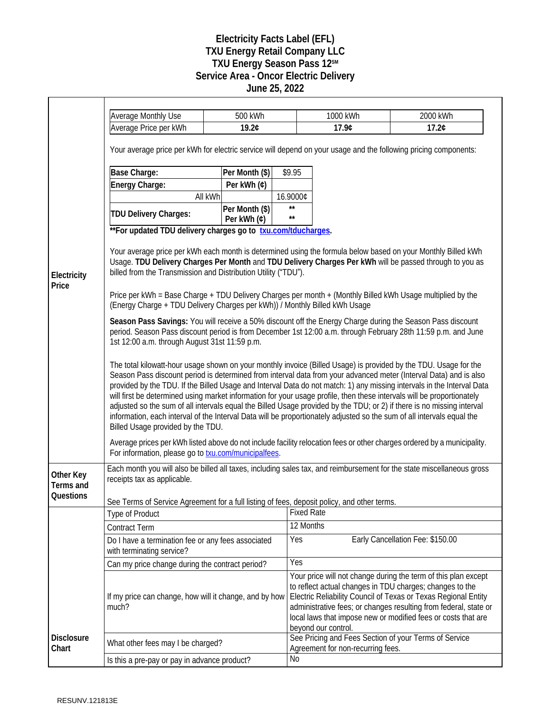## **Electricity Facts Label (EFL) TXU Energy Retail Company LLC TXU Energy Season Pass 12SM Service Area - Oncor Electric Delivery June 25, 2022**

|                            | <b>Average Monthly Use</b>                                                                                                                                                                                                                                                                                                                                                                                                                                                                                                                                                                                                                                                                                                                                                         | 500 kWh                       |                              | 1000 kWh                          | 2000 kWh                                                                                                                                                                                                                                                                                                                          |  |  |
|----------------------------|------------------------------------------------------------------------------------------------------------------------------------------------------------------------------------------------------------------------------------------------------------------------------------------------------------------------------------------------------------------------------------------------------------------------------------------------------------------------------------------------------------------------------------------------------------------------------------------------------------------------------------------------------------------------------------------------------------------------------------------------------------------------------------|-------------------------------|------------------------------|-----------------------------------|-----------------------------------------------------------------------------------------------------------------------------------------------------------------------------------------------------------------------------------------------------------------------------------------------------------------------------------|--|--|
|                            | Average Price per kWh<br>19.2¢                                                                                                                                                                                                                                                                                                                                                                                                                                                                                                                                                                                                                                                                                                                                                     |                               |                              | 17.9¢                             | 17.2¢                                                                                                                                                                                                                                                                                                                             |  |  |
|                            | Your average price per kWh for electric service will depend on your usage and the following pricing components:                                                                                                                                                                                                                                                                                                                                                                                                                                                                                                                                                                                                                                                                    |                               |                              |                                   |                                                                                                                                                                                                                                                                                                                                   |  |  |
| Electricity<br>Price       | Base Charge:                                                                                                                                                                                                                                                                                                                                                                                                                                                                                                                                                                                                                                                                                                                                                                       | Per Month (\$)                | \$9.95                       |                                   |                                                                                                                                                                                                                                                                                                                                   |  |  |
|                            | Energy Charge:                                                                                                                                                                                                                                                                                                                                                                                                                                                                                                                                                                                                                                                                                                                                                                     | Per kWh (¢)                   |                              |                                   |                                                                                                                                                                                                                                                                                                                                   |  |  |
|                            | All kWh                                                                                                                                                                                                                                                                                                                                                                                                                                                                                                                                                                                                                                                                                                                                                                            |                               | 16.9000¢                     |                                   |                                                                                                                                                                                                                                                                                                                                   |  |  |
|                            | <b>TDU Delivery Charges:</b>                                                                                                                                                                                                                                                                                                                                                                                                                                                                                                                                                                                                                                                                                                                                                       | Per Month (\$)<br>Per kWh (¢) | $\star\star$<br>$\star\star$ |                                   |                                                                                                                                                                                                                                                                                                                                   |  |  |
|                            | ** For updated TDU delivery charges go to txu.com/tducharges.                                                                                                                                                                                                                                                                                                                                                                                                                                                                                                                                                                                                                                                                                                                      |                               |                              |                                   |                                                                                                                                                                                                                                                                                                                                   |  |  |
|                            | Your average price per kWh each month is determined using the formula below based on your Monthly Billed kWh<br>Usage. TDU Delivery Charges Per Month and TDU Delivery Charges Per kWh will be passed through to you as<br>billed from the Transmission and Distribution Utility ("TDU").                                                                                                                                                                                                                                                                                                                                                                                                                                                                                          |                               |                              |                                   |                                                                                                                                                                                                                                                                                                                                   |  |  |
|                            | Price per kWh = Base Charge + TDU Delivery Charges per month + (Monthly Billed kWh Usage multiplied by the<br>(Energy Charge + TDU Delivery Charges per kWh)) / Monthly Billed kWh Usage                                                                                                                                                                                                                                                                                                                                                                                                                                                                                                                                                                                           |                               |                              |                                   |                                                                                                                                                                                                                                                                                                                                   |  |  |
|                            | Season Pass Savings: You will receive a 50% discount off the Energy Charge during the Season Pass discount<br>period. Season Pass discount period is from December 1st 12:00 a.m. through February 28th 11:59 p.m. and June<br>1st 12:00 a.m. through August 31st 11:59 p.m.                                                                                                                                                                                                                                                                                                                                                                                                                                                                                                       |                               |                              |                                   |                                                                                                                                                                                                                                                                                                                                   |  |  |
|                            | The total kilowatt-hour usage shown on your monthly invoice (Billed Usage) is provided by the TDU. Usage for the<br>Season Pass discount period is determined from interval data from your advanced meter (Interval Data) and is also<br>provided by the TDU. If the Billed Usage and Interval Data do not match: 1) any missing intervals in the Interval Data<br>will first be determined using market information for your usage profile, then these intervals will be proportionately<br>adjusted so the sum of all intervals equal the Billed Usage provided by the TDU; or 2) if there is no missing interval<br>information, each interval of the Interval Data will be proportionately adjusted so the sum of all intervals equal the<br>Billed Usage provided by the TDU. |                               |                              |                                   |                                                                                                                                                                                                                                                                                                                                   |  |  |
|                            | Average prices per kWh listed above do not include facility relocation fees or other charges ordered by a municipality.<br>For information, please go to <b>txu.com/municipalfees</b> .                                                                                                                                                                                                                                                                                                                                                                                                                                                                                                                                                                                            |                               |                              |                                   |                                                                                                                                                                                                                                                                                                                                   |  |  |
| Other Key<br>Terms and     | Each month you will also be billed all taxes, including sales tax, and reimbursement for the state miscellaneous gross<br>receipts tax as applicable.                                                                                                                                                                                                                                                                                                                                                                                                                                                                                                                                                                                                                              |                               |                              |                                   |                                                                                                                                                                                                                                                                                                                                   |  |  |
| Questions                  | See Terms of Service Agreement for a full listing of fees, deposit policy, and other terms.                                                                                                                                                                                                                                                                                                                                                                                                                                                                                                                                                                                                                                                                                        |                               |                              |                                   |                                                                                                                                                                                                                                                                                                                                   |  |  |
|                            | <b>Type of Product</b>                                                                                                                                                                                                                                                                                                                                                                                                                                                                                                                                                                                                                                                                                                                                                             |                               | <b>Fixed Rate</b>            |                                   |                                                                                                                                                                                                                                                                                                                                   |  |  |
|                            | <b>Contract Term</b>                                                                                                                                                                                                                                                                                                                                                                                                                                                                                                                                                                                                                                                                                                                                                               |                               | 12 Months                    |                                   |                                                                                                                                                                                                                                                                                                                                   |  |  |
|                            | Do I have a termination fee or any fees associated<br>with terminating service?                                                                                                                                                                                                                                                                                                                                                                                                                                                                                                                                                                                                                                                                                                    |                               | Yes                          |                                   | Early Cancellation Fee: \$150.00                                                                                                                                                                                                                                                                                                  |  |  |
|                            | Can my price change during the contract period?                                                                                                                                                                                                                                                                                                                                                                                                                                                                                                                                                                                                                                                                                                                                    |                               | Yes                          |                                   |                                                                                                                                                                                                                                                                                                                                   |  |  |
|                            | If my price can change, how will it change, and by how<br>much?                                                                                                                                                                                                                                                                                                                                                                                                                                                                                                                                                                                                                                                                                                                    |                               |                              |                                   | Your price will not change during the term of this plan except<br>to reflect actual changes in TDU charges; changes to the<br>Electric Reliability Council of Texas or Texas Regional Entity<br>administrative fees; or changes resulting from federal, state or<br>local laws that impose new or modified fees or costs that are |  |  |
| <b>Disclosure</b><br>Chart | What other fees may I be charged?                                                                                                                                                                                                                                                                                                                                                                                                                                                                                                                                                                                                                                                                                                                                                  |                               |                              | beyond our control.               | See Pricing and Fees Section of your Terms of Service                                                                                                                                                                                                                                                                             |  |  |
|                            |                                                                                                                                                                                                                                                                                                                                                                                                                                                                                                                                                                                                                                                                                                                                                                                    |                               | No                           | Agreement for non-recurring fees. |                                                                                                                                                                                                                                                                                                                                   |  |  |
|                            | Is this a pre-pay or pay in advance product?                                                                                                                                                                                                                                                                                                                                                                                                                                                                                                                                                                                                                                                                                                                                       |                               |                              |                                   |                                                                                                                                                                                                                                                                                                                                   |  |  |

Г